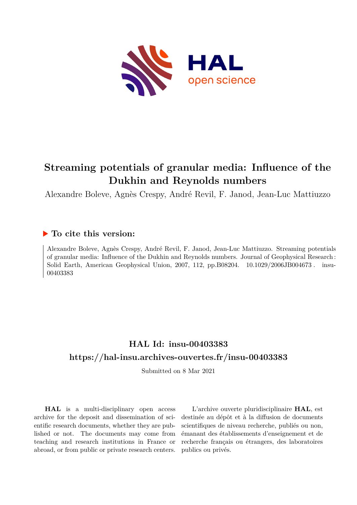

# **Streaming potentials of granular media: Influence of the Dukhin and Reynolds numbers**

Alexandre Boleve, Agnès Crespy, André Revil, F. Janod, Jean-Luc Mattiuzzo

### **To cite this version:**

Alexandre Boleve, Agnès Crespy, André Revil, F. Janod, Jean-Luc Mattiuzzo. Streaming potentials of granular media: Influence of the Dukhin and Reynolds numbers. Journal of Geophysical Research : Solid Earth, American Geophysical Union, 2007, 112, pp.B08204. 10.1029/2006JB004673. insu-00403383

## **HAL Id: insu-00403383 <https://hal-insu.archives-ouvertes.fr/insu-00403383>**

Submitted on 8 Mar 2021

**HAL** is a multi-disciplinary open access archive for the deposit and dissemination of scientific research documents, whether they are published or not. The documents may come from teaching and research institutions in France or abroad, or from public or private research centers.

L'archive ouverte pluridisciplinaire **HAL**, est destinée au dépôt et à la diffusion de documents scientifiques de niveau recherche, publiés ou non, émanant des établissements d'enseignement et de recherche français ou étrangers, des laboratoires publics ou privés.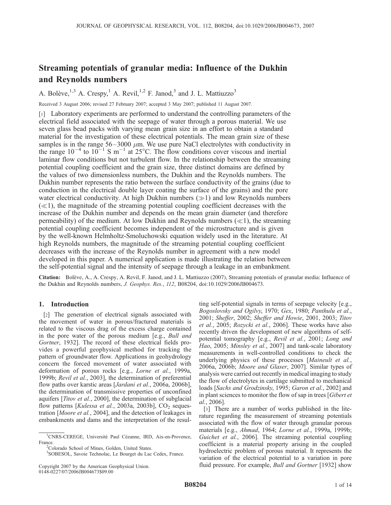## Streaming potentials of granular media: Influence of the Dukhin and Reynolds numbers

A. Bolève,<sup>1,3</sup> A. Crespy,<sup>1</sup> A. Revil,<sup>1,2</sup> F. Janod,<sup>3</sup> and J. L. Mattiuzzo<sup>3</sup>

Received 3 August 2006; revised 27 February 2007; accepted 3 May 2007; published 11 August 2007.

[1] Laboratory experiments are performed to understand the controlling parameters of the electrical field associated with the seepage of water through a porous material. We use seven glass bead packs with varying mean grain size in an effort to obtain a standard material for the investigation of these electrical potentials. The mean grain size of these samples is in the range  $56-3000 \mu m$ . We use pure NaCl electrolytes with conductivity in the range  $10^{-4}$  to  $10^{-1}$  S m<sup>-1</sup> at 25°C. The flow conditions cover viscous and inertial laminar flow conditions but not turbulent flow. In the relationship between the streaming potential coupling coefficient and the grain size, three distinct domains are defined by the values of two dimensionless numbers, the Dukhin and the Reynolds numbers. The Dukhin number represents the ratio between the surface conductivity of the grains (due to conduction in the electrical double layer coating the surface of the grains) and the pore water electrical conductivity. At high Dukhin numbers  $(\gg 1)$  and low Reynolds numbers  $(\ll 1)$ , the magnitude of the streaming potential coupling coefficient decreases with the increase of the Dukhin number and depends on the mean grain diameter (and therefore permeability) of the medium. At low Dukhin and Reynolds numbers  $(\ll 1)$ , the streaming potential coupling coefficient becomes independent of the microstructure and is given by the well-known Helmholtz-Smoluchowski equation widely used in the literature. At high Reynolds numbers, the magnitude of the streaming potential coupling coefficient decreases with the increase of the Reynolds number in agreement with a new model developed in this paper. A numerical application is made illustrating the relation between the self-potential signal and the intensity of seepage through a leakage in an embankment.

Citation: Bolève, A., A. Crespy, A. Revil, F. Janod, and J. L. Mattiuzzo (2007), Streaming potentials of granular media: Influence of the Dukhin and Reynolds numbers, J. Geophys. Res., 112, B08204, doi:10.1029/2006JB004673.

#### 1. Introduction

[2] The generation of electrical signals associated with the movement of water in porous/fractured materials is related to the viscous drag of the excess charge contained in the pore water of the porous medium [e.g., Bull and Gortner, 1932]. The record of these electrical fields provides a powerful geophysical method for tracking the pattern of groundwater flow. Applications in geohydrology concern the forced movement of water associated with deformation of porous rocks [e.g., Lorne et al., 1999a, 1999b; Revil et al., 2003], the determination of preferential flow paths over karstic areas [Jardani et al., 2006a, 2006b], the determination of transmissive properties of unconfined aquifers [Titov et al., 2000], the determination of subglacial flow patterns [Kulessa et al., 2003a, 2003b],  $CO<sub>2</sub>$  sequestration [Moore et al., 2004], and the detection of leakages in embankments and dams and the interpretation of the resul-

3 SOBESOL, Savoie Technolac, Le Bourget du Lac Cedex, France.

ting self-potential signals in terms of seepage velocity [e.g., Bogoslovsky and Ogilvy, 1970; Gex, 1980; Panthulu et al., 2001; Sheffer, 2002; Sheffer and Howie, 2001, 2003; Titov et al., 2005; Rozycki et al., 2006]. These works have also recently driven the development of new algorithms of selfpotential tomography [e.g., Revil et al., 2001; Long and Hao, 2005; Minsley et al., 2007] and tank-scale laboratory measurements in well-controlled conditions to check the underlying physics of these processes [Maineult et al., 2006a, 2006b; Moore and Glaser, 2007]. Similar types of analysis were carried out recently in medical imaging to study the flow of electrolytes in cartilage submitted to mechanical loads [Sachs and Grodzinsky, 1995; Garon et al., 2002] and in plant sciences to monitor the flow of sap in trees [Gibert et al., 2006].

[3] There are a number of works published in the literature regarding the measurement of streaming potentials associated with the flow of water through granular porous materials [e.g., Ahmad, 1964; Lorne et al., 1999a, 1999b; Guichet et al., 2006]. The streaming potential coupling coefficient is a material property arising in the coupled hydroelectric problem of porous material. It represents the variation of the electrical potential to a variation in pore fluid pressure. For example, *Bull and Gortner* [1932] show

<sup>&</sup>lt;sup>1</sup>CNRS-CEREGE, Université Paul Cézanne, IRD, Aix-en-Provence, France.

<sup>&</sup>lt;sup>2</sup>Colorado School of Mines, Golden, United States.

Copyright 2007 by the American Geophysical Union. 0148-0227/07/2006JB004673\$09.00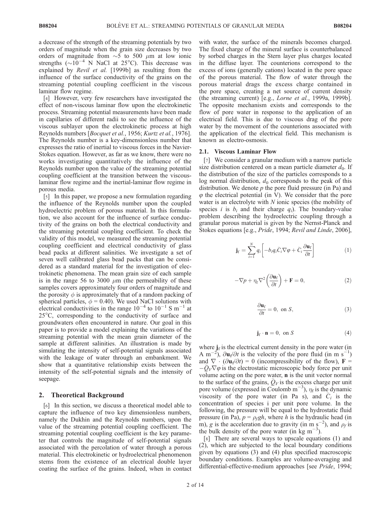a decrease of the strength of the streaming potentials by two orders of magnitude when the grain size decreases by two orders of magnitude from  $\sim$  5 to 500  $\mu$ m at low ionic strengths  $(\sim 10^{-4}$  N NaCl at 25°C). This decrease was explained by Revil et al. [1999b] as resulting from the influence of the surface conductivity of the grains on the streaming potential coupling coefficient in the viscous laminar flow regime.

[4] However, very few researchers have investigated the effect of non-viscous laminar flow upon the electrokinetic process. Streaming potential measurements have been made in capillaries of different radii to see the influence of the viscous sublayer upon the electrokinetic process at high Reynolds numbers [Bocquet et al., 1956; Kurtz et al., 1976]. The Reynolds number is a key-dimensionless number that expresses the ratio of inertial to viscous forces in the Navier-Stokes equation. However, as far as we know, there were no works investigating quantitatively the influence of the Reynolds number upon the value of the streaming potential coupling coefficient at the transition between the viscouslaminar flow regime and the inertial-laminar flow regime in porous media.

[5] In this paper, we propose a new formulation regarding the influence of the Reynolds number upon the coupled hydroelectric problem of porous material. In this formulation, we also account for the influence of surface conductivity of the grains on both the electrical conductivity and the streaming potential coupling coefficient. To check the validity of this model, we measured the streaming potential coupling coefficient and electrical conductivity of glass bead packs at different salinities. We investigate a set of seven well calibrated glass bead packs that can be considered as a standard material for the investigation of electrokinetic phenomena. The mean grain size of each sample is in the range 56 to 3000  $\mu$ m (the permeability of these samples covers approximately four orders of magnitude and the porosity  $\phi$  is approximately that of a random packing of spherical particles,  $\phi = 0.40$ ). We used NaCl solutions with electrical conductivities in the range  $10^{-4}$  to  $10^{-1}$  S m<sup>-1</sup> at 25C, corresponding to the conductivity of surface and groundwaters often encountered in nature. Our goal in this paper is to provide a model explaining the variations of the streaming potential with the mean grain diameter of the sample at different salinities. An illustration is made by simulating the intensity of self-potential signals associated with the leakage of water through an embankment. We show that a quantitative relationship exists between the intensity of the self-potential signals and the intensity of seepage.

#### 2. Theoretical Background

[6] In this section, we discuss a theoretical model able to capture the influence of two key dimensionless numbers, namely the Dukhin and the Reynolds numbers, upon the value of the streaming potential coupling coefficient. The streaming potential coupling coefficient is the key parameter that controls the magnitude of self-potential signals associated with the percolation of water through a porous material. This electrokinetic or hydroelectrical phenomenon stems from the existence of an electrical double layer coating the surface of the grains. Indeed, when in contact with water, the surface of the minerals becomes charged. The fixed charge of the mineral surface is counterbalanced by sorbed charges in the Stern layer plus charges located in the diffuse layer. The counterions correspond to the excess of ions (generally cations) located in the pore space of the porous material. The flow of water through the porous material drags the excess charge contained in the pore space, creating a net source of current density (the streaming current) [e.g., Lorne et al., 1999a, 1999b]. The opposite mechanism exists and corresponds to the flow of pore water in response to the application of an electrical field. This is due to viscous drag of the pore water by the movement of the counterions associated with the application of the electrical field. This mechanism is known as electro-osmosis.

#### 2.1. Viscous Laminar Flow

[7] We consider a granular medium with a narrow particle size distribution centered on a mean particle diameter  $d_0$ . If the distribution of the size of the particles corresponds to a log normal distribution,  $d_0$  corresponds to the peak of this distribution. We denote  $p$  the pore fluid pressure (in Pa) and  $\varphi$  the electrical potential (in V). We consider that the pore water is an electrolyte with  $N$  ionic species (the mobility of species *i* is  $b_i$  and their charge  $q_i$ ). The boundary-value problem describing the hydroelectric coupling through a granular porous material is given by the Nernst-Planck and Stokes equations [e.g., Pride, 1994; Revil and Linde, 2006],

$$
\mathbf{j}_{\rm f} = \sum_{i=1}^{N} q_i \left[ -b_i q_i \bar{C}_i \nabla \varphi + \bar{C}_i \frac{\partial \mathbf{u}_{\rm f}}{\partial t} \right]
$$
 (1)

$$
-\nabla p + \eta_f \nabla^2 \left(\frac{\partial \mathbf{u}_f}{\partial t}\right) + \mathbf{F} = 0, \tag{2}
$$

$$
\frac{\partial \mathbf{u}_{\mathrm{f}}}{\partial t} = 0, \text{ on } S,
$$
\n(3)

$$
\mathbf{j}_{\mathrm{f}} \cdot \mathbf{n} = 0, \text{ on } S \tag{4}
$$

where  $j_f$  is the electrical current density in the pore water (in A m<sup>-2</sup>),  $\partial$ **u**<sub>f</sub> $/\partial t$  is the velocity of the pore fluid (in m s<sup>-1</sup>) and  $\nabla \cdot (\partial \mathbf{u}_f/\partial t) = 0$  (incompressibility of the flow),  $\mathbf{F} =$  $-Q_V\nabla\varphi$  is the electrostatic microscopic body force per unit volume acting on the pore water, n is the unit vector normal to the surface of the grains,  $\overline{Q}_V$  is the excess charge per unit pore volume (expressed in Coulomb m<sup>-3</sup>),  $\eta_f$  is the dynamic viscosity of the pore water (in Pa s), and  $C_i$  is the concentration of species i per unit pore volume. In the following, the pressure will be equal to the hydrostatic fluid pressure (in Pa),  $p = \rho_f gh$ , where h is the hydraulic head (in m), g is the acceleration due to gravity (in m s<sup>-2</sup>), and  $\rho_f$  is the bulk density of the pore water (in kg m<sup>-3</sup>).

[8] There are several ways to upscale equations (1) and (2), which are subjected to the local boundary conditions given by equations (3) and (4) plus specified macroscopic boundary conditions. Examples are volume-averaging and differential-effective-medium approaches [see Pride, 1994;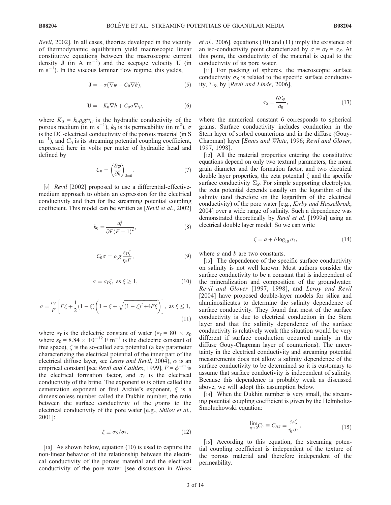Revil, 2002]. In all cases, theories developed in the vicinity of thermodynamic equilibrium yield macroscopic linear constitutive equations between the macroscopic current density J (in A  $m^{-2}$ ) and the seepage velocity U (in  $m s^{-1}$ ). In the viscous laminar flow regime, this yields,

$$
\mathbf{J} = -\sigma(\nabla \varphi - C_0 \nabla h),\tag{5}
$$

$$
\mathbf{U} = -K_0 \nabla h + C_0 \sigma \nabla \varphi, \tag{6}
$$

where  $K_0 = k_0 \rho g / \eta_f$  is the hydraulic conductivity of the porous medium (in m s<sup>-1</sup>),  $k_0$  is its permeability (in m<sup>2</sup>),  $\sigma$ is the DC-electrical conductivity of the porous material (in S  $m^{-1}$ ), and  $C_0$  is its streaming potential coupling coefficient, expressed here in volts per meter of hydraulic head and defined by

$$
C_0 = \left(\frac{\partial \varphi}{\partial h}\right)_{\mathbf{J} = 0}.\tag{7}
$$

[9] *Revil* [2002] proposed to use a differential-effectivemedium approach to obtain an expression for the electrical conductivity and then for the streaming potential coupling coefficient. This model can be written as [Revil et al., 2002]

$$
k_0 = \frac{d_0^2}{\partial F(F-1)^2},\tag{8}
$$

$$
C_0 \sigma = \rho_{\rm f} g \frac{\varepsilon_{\rm f} \zeta}{\eta_{\rm f} F},\tag{9}
$$

$$
\sigma = \sigma_{\rm f} \xi, \text{ as } \xi \ge 1,
$$
 (10)

$$
\sigma = \frac{\sigma_f}{F} \left[ F\xi + \frac{1}{2} (1 - \xi) \left( 1 - \xi + \sqrt{(1 - \xi)^2 + 4F\xi} \right) \right], \text{ as } \xi \le 1,
$$
\n(11)

where  $\varepsilon_f$  is the dielectric constant of water ( $\varepsilon_f = 80 \times \varepsilon_0$ ) where  $\varepsilon_0 = 8.84 \times 10^{-12} \text{ F m}^{-1}$  is the dielectric constant of free space),  $\zeta$  is the so-called zeta potential (a key parameter characterizing the electrical potential of the inner part of the electrical diffuse layer, see Leroy and Revil, 2004),  $\alpha$  is an empirical constant [see *Revil and Cathles*, 1999],  $F = \phi^{-m}$  is the electrical formation factor, and  $\sigma_f$  is the electrical conductivity of the brine. The exponent  $m$  is often called the cementation exponent or first Archie's exponent,  $\xi$  is a dimensionless number called the Dukhin number, the ratio between the surface conductivity of the grains to the electrical conductivity of the pore water [e.g., *Shilov et al.*, 2001]:

$$
\xi \equiv \sigma_S/\sigma_f. \tag{12}
$$

[10] As shown below, equation (10) is used to capture the non-linear behavior of the relationship between the electrical conductivity of the porous material and the electrical conductivity of the pore water [see discussion in Niwas et al., 2006]. equations (10) and (11) imply the existence of an iso-conductivity point characterized by  $\sigma = \sigma_f = \sigma_S$ . At this point, the conductivity of the material is equal to the conductivity of its pore water.

[11] For packing of spheres, the macroscopic surface conductivity  $\sigma_S$  is related to the specific surface conductivity,  $\Sigma<sub>S</sub>$ , by [Revil and Linde, 2006],

$$
\sigma_S = \frac{6\Sigma_S}{d_0},\tag{13}
$$

where the numerical constant 6 corresponds to spherical grains. Surface conductivity includes conduction in the Stern layer of sorbed counterions and in the diffuse (Gouy-Chapman) layer [Ennis and White, 1996; Revil and Glover, 1997, 1998].

[12] All the material properties entering the constitutive equations depend on only two textural parameters, the mean grain diameter and the formation factor, and two electrical double layer properties, the zeta potential  $\zeta$  and the specific surface conductivity  $\Sigma_{\mathcal{S}}$ . For simple supporting electrolytes, the zeta potential depends usually on the logarithm of the salinity (and therefore on the logarithm of the electrical conductivity) of the pore water [e.g., Kirby and Hasselbrink, 2004] over a wide range of salinity. Such a dependence was demonstrated theoretically by Revil et al. [1999a] using an electrical double layer model. So we can write

$$
\zeta = a + b \log_{10} \sigma_f,\tag{14}
$$

where  $a$  and  $b$  are two constants.

[13] The dependence of the specific surface conductivity on salinity is not well known. Most authors consider the surface conductivity to be a constant that is independent of the mineralization and composition of the groundwater. Revil and Glover [1997, 1998], and Leroy and Revil [2004] have proposed double-layer models for silica and aluminosilicates to determine the salinity dependence of surface conductivity. They found that most of the surface conductivity is due to electrical conduction in the Stern layer and that the salinity dependence of the surface conductivity is relatively weak (the situation would be very different if surface conduction occurred mainly in the diffuse Gouy-Chapman layer of counterions). The uncertainty in the electrical conductivity and streaming potential measurements does not allow a salinity dependence of the surface conductivity to be determined so it is customary to assume that surface conductivity is independent of salinity. Because this dependence is probably weak as discussed above, we will adopt this assumption below.

[14] When the Dukhin number is very small, the streaming potential coupling coefficient is given by the Helmholtz-Smoluchowski equation:

$$
\lim_{\eta \to 0} C_0 \equiv C_{HS} = \frac{\varepsilon_f \zeta}{\eta_f \sigma_f},\tag{15}
$$

[15] According to this equation, the streaming potential coupling coefficient is independent of the texture of the porous material and therefore independent of the permeability.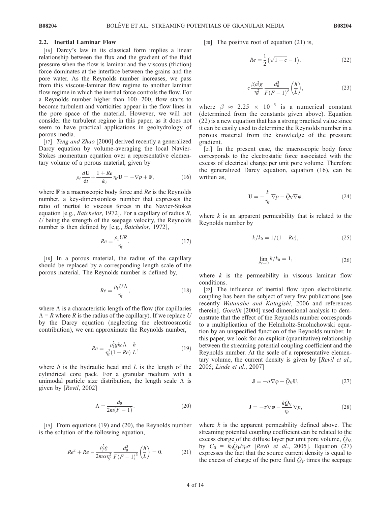#### 2.2. Inertial Laminar Flow

[16] Darcy's law in its classical form implies a linear relationship between the flux and the gradient of the fluid pressure when the flow is laminar and the viscous (friction) force dominates at the interface between the grains and the pore water. As the Reynolds number increases, we pass from this viscous-laminar flow regime to another laminar flow regime in which the inertial force controls the flow. For a Reynolds number higher than 100– 200, flow starts to become turbulent and vorticities appear in the flow lines in the pore space of the material. However, we will not consider the turbulent regime in this paper, as it does not seem to have practical applications in geohydrology of porous media.

[17] *Teng and Zhao* [2000] derived recently a generalized Darcy equation by volume-averaging the local Navier-Stokes momentum equation over a representative elementary volume of a porous material, given by

$$
\rho_{\rm f} \frac{d\mathbf{U}}{dt} + \frac{1+Re}{k_0} \eta_{\rm f} \mathbf{U} = -\nabla p + \mathbf{F},\tag{16}
$$

where  $\bf{F}$  is a macroscopic body force and  $Re$  is the Reynolds number, a key-dimensionless number that expresses the ratio of inertial to viscous forces in the Navier-Stokes equation [e.g., *Batchelor*, 1972]. For a capillary of radius  $R$ , U being the strength of the seepage velocity, the Reynolds number is then defined by [e.g., *Batchelor*, 1972],

$$
Re = \frac{\rho_f U R}{\eta_f}.\tag{17}
$$

[18] In a porous material, the radius of the capillary should be replaced by a corresponding length scale of the porous material. The Reynolds number is defined by,

$$
Re = \frac{\rho_{\rm f} U \Lambda}{\eta_{\rm f}},\tag{18}
$$

where  $\Lambda$  is a characteristic length of the flow (for capillaries  $\Lambda = R$  where R is the radius of the capillary). If we replace U by the Darcy equation (neglecting the electroosmotic contribution), we can approximate the Reynolds number,

$$
Re = \frac{\rho_{\rm f}^2 g k_0 \Lambda}{\eta_{\rm f}^2 (1 + Re)} \frac{h}{L},\tag{19}
$$

where  $h$  is the hydraulic head and  $L$  is the length of the cylindrical core pack. For a granular medium with a unimodal particle size distribution, the length scale  $\Lambda$  is given by [Revil, 2002]

$$
\Lambda = \frac{d_0}{2m(F-1)}.\tag{20}
$$

[19] From equations (19) and (20), the Reynolds number is the solution of the following equation,

$$
Re^{2} + Re - \frac{\rho_{f}^{2}g}{2m\alpha\eta_{f}^{2}} \frac{d_{0}^{3}}{F(F-1)^{3}} \left(\frac{h}{L}\right) = 0.
$$
 (21)

[20] The positive root of equation (21) is,

$$
Re = \frac{1}{2} (\sqrt{1+c} - 1),
$$
 (22)

$$
c\frac{\beta \rho_{\rm f}^2 g}{\eta_{\rm f}^2} \frac{d_0^3}{F(F-1)^3} \left(\frac{h}{L}\right),\tag{23}
$$

where  $\beta \approx 2.25 \times 10^{-3}$  is a numerical constant (determined from the constants given above). Equation (22) is a new equation that has a strong practical value since it can be easily used to determine the Reynolds number in a porous material from the knowledge of the pressure gradient.

[21] In the present case, the macroscopic body force corresponds to the electrostatic force associated with the excess of electrical charge per unit pore volume. Therefore the generalized Darcy equation, equation (16), can be written as,

$$
\mathbf{U} = -\frac{k}{\eta_{\rm f}} \nabla p - \bar{Q}_{\rm V} \nabla \varphi, \tag{24}
$$

where  $k$  is an apparent permeability that is related to the Reynolds number by

$$
k/k_0 = 1/(1+Re),
$$
 (25)

$$
\lim_{Re \to 0} k/k_0 = 1,\tag{26}
$$

where  $k$  is the permeability in viscous laminar flow conditions.

[22] The influence of inertial flow upon electrokinetic coupling has been the subject of very few publications [see recently Watanabe and Katagishi, 2006 and references therein]. Gorelik [2004] used dimensional analysis to demonstrate that the effect of the Reynolds number corresponds to a multiplication of the Helmholtz-Smoluchowski equation by an unspecified function of the Reynolds number. In this paper, we look for an explicit (quantitative) relationship between the streaming potential coupling coefficient and the Reynolds number. At the scale of a representative elementary volume, the current density is given by [Revil et al., 2005; Linde et al., 2007]

$$
\mathbf{J} = -\sigma \nabla \varphi + \bar{Q}_{V} \mathbf{U},\tag{27}
$$

$$
\mathbf{J} = -\sigma \nabla \varphi - \frac{k \bar{Q}_V}{\eta_f} \nabla p,\tag{28}
$$

where  $k$  is the apparent permeability defined above. The streaming potential coupling coefficient can be related to the excess charge of the diffuse layer per unit pore volume,  $Q_V$ , by  $C_0 = k_0 \overline{Q}_V / \eta_f \sigma$  [Revil et al., 2005]. Equation (27) expresses the fact that the source current density is equal to the excess of charge of the pore fluid  $\overline{Q}_V$  times the seepage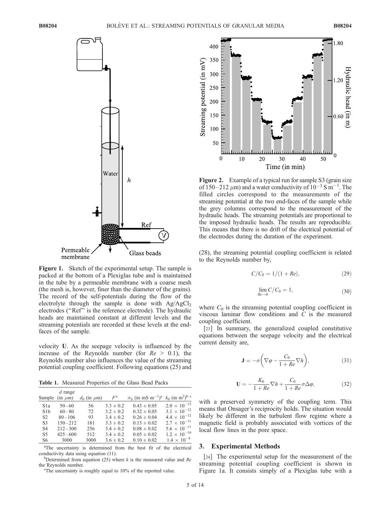

Figure 1. Sketch of the experimental setup. The sample is packed at the bottom of a Plexiglas tube and is maintained in the tube by a permeable membrane with a coarse mesh (the mesh is, however, finer than the diameter of the grains). The record of the self-potentials during the flow of the electrolyte through the sample is done with  $Ag/AgCl<sub>2</sub>$ electrodes (''Ref'' is the reference electrode). The hydraulic heads are maintained constant at different levels and the streaming potentials are recorded at these levels at the endfaces of the sample.

velocity U. As the seepage velocity is influenced by the increase of the Reynolds number (for  $Re > 0.1$ ), the Reynolds number also influences the value of the streaming potential coupling coefficient. Following equations (25) and

Table 1. Measured Properties of the Glass Bead Packs

|                  | $d$ range    |                    |               |                                                                                            |                       |
|------------------|--------------|--------------------|---------------|--------------------------------------------------------------------------------------------|-----------------------|
| Sample           | $(in \mu m)$ | $d_0$ (in $\mu$ m) | $F^{\rm a}$   | $\sigma_S$ (in mS m <sup>-1</sup> ) <sup>a</sup> $k_0$ (in m <sup>2</sup> ) <sup>b</sup> c |                       |
| S <sub>1</sub> a | $50 - 60$    | 56                 | $3.3 \pm 0.2$ | $0.43 \pm 0.05$                                                                            | $2.0 \times 10^{-12}$ |
| S1b              | $60 - 80$    | 72                 | $3.2 \pm 0.2$ | $0.32 \pm 0.05$                                                                            | $3.1 \times 10^{-12}$ |
| S <sub>2</sub>   | $80 - 106$   | 93                 | $3.4 \pm 0.2$ | $0.26 \pm 0.04$                                                                            | $4.4 \times 10^{-12}$ |
| S <sub>3</sub>   | $150 - 212$  | 181                | $3.3 \pm 0.2$ | $0.13 \pm 0.02$                                                                            | $2.7 \times 10^{-11}$ |
| S <sub>4</sub>   | $212 - 300$  | 256                | $3.4 \pm 0.2$ | $0.08 \pm 0.02$                                                                            | $5.6 \times 10^{-11}$ |
| S <sub>5</sub>   | $425 - 600$  | 512                | $3.4 \pm 0.2$ | $0.05 \pm 0.02$                                                                            | $1.2 \times 10^{-10}$ |
| S6               | 3000         | 3000               | $3.6 \pm 0.2$ | $0.10 \pm 0.02$                                                                            | $1.4 \times 10^{-8}$  |

<sup>a</sup>The uncertainty is determined from the best fit of the electrical conductivity data using equation (11).

 $b$ Determined from equation (25) where k is the measured value and Re the Reynolds number.

 ${}^{\circ}$ The uncertainty is roughly equal to 10% of the reported value.



Figure 2. Example of a typical run for sample S3 (grain size of  $150-212 \ \mu m$ ) and a water conductivity of  $10^{-3}$  S m<sup>-1</sup>. The filled circles correspond to the measurements of the streaming potential at the two end-faces of the sample while the grey columns correspond to the measurement of the hydraulic heads. The streaming potentials are proportional to the imposed hydraulic heads. The results are reproducible. This means that there is no drift of the electrical potential of the electrodes during the duration of the experiment.

(28), the streaming potential coupling coefficient is related to the Reynolds number by,

$$
C/C_0 = 1/(1+Re),
$$
 (29)

$$
\lim_{Re \to 0} C/C_0 = 1,\tag{30}
$$

where  $C_0$  is the streaming potential coupling coefficient in viscous laminar flow conditions and C is the measured coupling coefficient.

[23] In summary, the generalized coupled constitutive equations between the seepage velocity and the electrical current density are,

$$
\mathbf{J} = -\sigma \left( \nabla \varphi - \frac{C_0}{1 + Re} \nabla h \right),\tag{31}
$$

$$
\mathbf{U} = -\frac{K_0}{1+Re}\nabla h + \frac{C_0}{1+Re}\sigma \Delta \varphi, \tag{32}
$$

with a preserved symmetry of the coupling term. This means that Onsager's reciprocity holds. The situation would likely be different in the turbulent flow regime where a magnetic field is probably associated with vortices of the local flow lines in the pore space.

#### 3. Experimental Methods

[24] The experimental setup for the measurement of the streaming potential coupling coefficient is shown in Figure 1a. It consists simply of a Plexiglas tube with a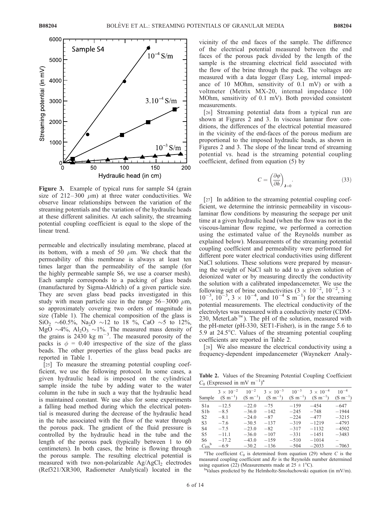

Figure 3. Example of typical runs for sample S4 (grain size of  $212-300 \mu m$ ) at three water conductivities. We observe linear relationships between the variation of the streaming potentials and the variation of the hydraulic heads at these different salinities. At each salinity, the streaming potential coupling coefficient is equal to the slope of the linear trend.

permeable and electrically insulating membrane, placed at its bottom, with a mesh of 50  $\mu$ m. We check that the permeability of this membrane is always at least ten times larger than the permeability of the sample (for the highly permeable sample S6, we use a coarser mesh). Each sample corresponds to a packing of glass beads (manufactured by Sigma-Aldrich) of a given particle size. They are seven glass bead packs investigated in this study with mean particle size in the range  $56-3000 \mu m$ , so approximately covering two orders of magnitude in size (Table 1). The chemical composition of the glass is  $\text{SiO}_2 \sim 60.5\%, \text{ Na}_2\text{O} \sim 12 \text{ to } 18 \%$ , CaO  $\sim 5$  to 12%, MgO  $\sim$ 4%, Al<sub>2</sub>O<sub>3</sub>  $\sim$ 1%. The measured mass density of the grains is  $2430 \text{ kg m}^{-3}$ . The measured porosity of the packs is  $\phi = 0.40$  irrespective of the size of the glass beads. The other properties of the glass bead packs are reported in Table 1.

[25] To measure the streaming potential coupling coefficient, we use the following protocol. In some cases, a given hydraulic head is imposed on the cylindrical sample inside the tube by adding water to the water column in the tube in such a way that the hydraulic head is maintained constant. We use also for some experiments a falling head method during which the electrical potential is measured during the decrease of the hydraulic head in the tube associated with the flow of the water through the porous pack. The gradient of the fluid pressure is controlled by the hydraulic head in the tube and the length of the porous pack (typically between 1 to 60 centimeters). In both cases, the brine is flowing through the porous sample. The resulting electrical potential is measured with two non-polarizable  $Ag/AgCl<sub>2</sub>$  electrodes (Ref321/XR300, Radiometer Analytical) located in the

vicinity of the end faces of the sample. The difference of the electrical potential measured between the end faces of the porous pack divided by the length of the sample is the streaming electrical field associated with the flow of the brine through the pack. The voltages are measured with a data logger (Easy Log, internal impedance of 10 MOhm, sensitivity of 0.1 mV) or with a voltmeter (Metrix MX-20, internal impedance 100 MOhm, sensitivity of 0.1 mV). Both provided consistent measurements.

[26] Streaming potential data from a typical run are shown at Figures 2 and 3. In viscous laminar flow conditions, the differences of the electrical potential measured in the vicinity of the end-faces of the porous medium are proportional to the imposed hydraulic heads, as shown in Figures 2 and 3. The slope of the linear trend of streaming potential vs. head is the streaming potential coupling coefficient, defined from equation (5) by

$$
C = \left(\frac{\partial \varphi}{\partial h}\right)_{\mathbf{J} = 0}.\tag{33}
$$

[27] In addition to the streaming potential coupling coefficient, we determine the intrinsic permeability in viscouslaminar flow conditions by measuring the seepage per unit time at a given hydraulic head (when the flow was not in the viscous-laminar flow regime, we performed a correction using the estimated value of the Reynolds number as explained below). Measurements of the streaming potential coupling coefficient and permeability were performed for different pore water electrical conductivities using different NaCl solutions. These solutions were prepared by measuring the weight of NaCl salt to add to a given solution of deionized water or by measuring directly the conductivity the solution with a calibrated impedancemeter. We use the following set of brine conductivities  $(3 \times 10^{-2}, 10^{-2}, 3 \times$  $10^{-3}$ ,  $10^{-3}$ ,  $3 \times 10^{-4}$ , and  $10^{-4}$  S m<sup>-1</sup>) for the streaming potential measurements. The electrical conductivity of the electrolytes was measured with a conductivity meter (CDM-230, MeterLab<sup>™</sup>). The pH of the solution, measured with the pH-meter (pH-330, SET1-Fisher), is in the range 5.6 to 5.9 at  $24.5^{\circ}$ C. Values of the streaming potential coupling coefficients are reported in Table 2.

[28] We also measure the electrical conductivity using a frequency-dependent impedancemeter (Waynekerr Analy-

Table 2. Values of the Streaming Potential Coupling Coefficient  $C_0$  (Expressed in mV m<sup>-1</sup>)<sup>a</sup>

| Sample                    | $3 \times 10^{-2}$<br>$(S \, m^{-1})$ | $10^{-2}$          | $3 \times 10^{-3}$<br>$(S \text{ m}^{-1})$ $(S \text{ m}^{-1})$ $(S \text{ m}^{-1})$ $(S \text{ m}^{-1})$ | $10^{-3}$        | $3 \times 10^{-4}$ | $10^{-4}$<br>$(S \, m^{-1})$ |
|---------------------------|---------------------------------------|--------------------|-----------------------------------------------------------------------------------------------------------|------------------|--------------------|------------------------------|
| S1a                       | $-12.5$                               | $-22.0$            | $-75$                                                                                                     | $-1.59$          | $-4.54$            | $-647$                       |
| S1b<br>S <sub>2</sub>     | $-8.5$<br>$-8.1$                      | $-36.0$<br>$-24.0$ | $-142$<br>$-87$                                                                                           | $-245$<br>$-224$ | $-748$<br>$-477$   | $-1944$<br>$-3215$           |
| S <sub>3</sub>            | $-7.6$                                | $-30.5$            | $-137$                                                                                                    | $-319$           | $-1219$            | $-4793$                      |
| S4                        | $-7.5$                                | $-23.0$            | $-82$                                                                                                     | $-317$           | $-1132$            | $-4502$                      |
| S <sub>5</sub><br>S6      | $-11.1$<br>$-17.2$                    | $-36.0$<br>$-43.0$ | $-107$<br>$-1.59$                                                                                         | $-331$<br>$-510$ | $-1451$<br>$-1014$ | $-3483$                      |
| $C_{\rm HS}$ <sup>b</sup> | $-6.9$                                | $-30.2$            | $-136$                                                                                                    | $-504$           | $-2033$            | $-7063$                      |
|                           |                                       |                    |                                                                                                           |                  |                    |                              |

<sup>a</sup>The coefficient  $C_0$  is determined from equation (29) where C is the measured coupling coefficient and Re is the Reynolds number determined using equation (22) (Measurements made at  $25 \pm 1^{\circ}$ C).

<sup>b</sup>Values predicted by the Helmholtz-Smoluchowski equation (in mV/m).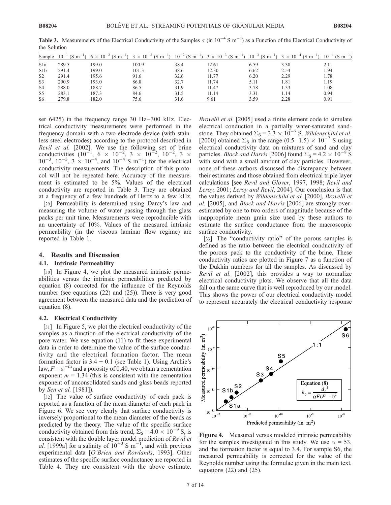| Sample           |       |       |       |      |       |      | $10^{-1}$ (S m <sup>-1</sup> ) 6 × $10^{-2}$ (S m <sup>-1</sup> ) 3 × $10^{-2}$ (S m <sup>-1</sup> ) $10^{-2}$ (S m <sup>-1</sup> ) 3 × $10^{-3}$ (S m <sup>-1</sup> ) $10^{-3}$ (S m <sup>-1</sup> ) 3 × $10^{-4}$ (S m <sup>-1</sup> ) $10^{-4}$ (S m <sup>-1</sup> ) |      |
|------------------|-------|-------|-------|------|-------|------|-------------------------------------------------------------------------------------------------------------------------------------------------------------------------------------------------------------------------------------------------------------------------|------|
| S <sub>1</sub> a | 289.5 | 199.0 | 100.9 | 38.4 | .2.61 | 6.59 | 3.38                                                                                                                                                                                                                                                                    | 2.11 |
| S1b              | 291.4 | 199.0 | 101.3 | 38.6 | 12.30 | 6.62 | 2.54                                                                                                                                                                                                                                                                    | 1.94 |
| S <sub>2</sub>   | 291.4 | 195.6 | 91.6  | 32.6 | 11.77 | 6.20 | 2.29                                                                                                                                                                                                                                                                    | 1.78 |
| S <sub>3</sub>   | 290.9 | 193.0 | 86.8  | 32.7 | 11.74 | 5.11 | 1.81                                                                                                                                                                                                                                                                    | 1.19 |
| S <sub>4</sub>   | 288.0 | 188.7 | 86.5  | 31.9 | 11.47 | 3.78 | 1.33                                                                                                                                                                                                                                                                    | 1.08 |
| S <sub>5</sub>   | 283.1 | 187.3 | 84.6  | 31.5 | 1.14  | 3.31 | l.14                                                                                                                                                                                                                                                                    | 0.94 |
| S <sub>6</sub>   | 279.8 | 182.0 | 75.6  | 31.6 | 9.61  | 3.59 | 2.28                                                                                                                                                                                                                                                                    | 0.91 |

**Table 3.** Measurements of the Electrical Conductivity of the Samples  $\sigma$  (in  $10^{-4}$  S m<sup>-1</sup>) as a Function of the Electrical Conductivity of the Solution

ser  $6425$ ) in the frequency range 30 Hz-300 kHz. Electrical conductivity measurements were performed in the frequency domain with a two-electrode device (with stainless steel electrodes) according to the protocol described in Revil et al. [2002]. We use the following set of brine conductivities  $(10^{-1}, 6 \times 10^{-2}, 3 \times 10^{-2}, 10^{-2}, 3 \times$  $10^{-3}$ ,  $10^{-3}$ ,  $3 \times 10^{-4}$ , and  $10^{-4}$  S m<sup>-1</sup>) for the electrical conductivity measurements. The description of this protocol will not be repeated here. Accuracy of the measurement is estimated to be 5%. Values of the electrical conductivity are reported in Table 3. They are obtained at a frequency of a few hundreds of Hertz to a few kHz.

[29] Permeability is determined using Darcy's law and measuring the volume of water passing through the glass packs per unit time. Measurements were reproducible with an uncertainty of 10%. Values of the measured intrinsic permeability (in the viscous laminar flow regime) are reported in Table 1.

#### 4. Results and Discussion

#### 4.1. Intrinsic Permeability

[30] In Figure 4, we plot the measured intrinsic permeabilities versus the intrinsic permeabilities predicted by equation (8) corrected for the influence of the Reynolds number (see equations (22) and (25)). There is very good agreement between the measured data and the prediction of equation (8).

#### 4.2. Electrical Conductivity

[31] In Figure 5, we plot the electrical conductivity of the samples as a function of the electrical conductivity of the pore water. We use equation (11) to fit these experimental data in order to determine the value of the surface conductivity and the electrical formation factor. The mean formation factor is  $3.4 \pm 0.1$  (see Table 1). Using Archie's law,  $F = \phi^{-m}$  and a porosity of 0.40, we obtain a cementation exponent  $m = 1.34$  (this is consistent with the cementation exponent of unconsolidated sands and glass beads reported by Sen et al. [1981]).

[32] The value of surface conductivity of each pack is reported as a function of the mean diameter of each pack in Figure 6. We see very clearly that surface conductivity is inversely proportional to the mean diameter of the beads as predicted by the theory. The value of the specific surface conductivity obtained from this trend,  $\Sigma_{\rm S} = 4.0 \times 10^{-9}$  S, is consistent with the double layer model prediction of Revil et *al.* [1999a] for a salinity of  $10^{-3}$  S m<sup>-1</sup>, and with previous experimental data [O'Brien and Rowlands, 1993]. Other estimates of the specific surface conductance are reported in Table 4. They are consistent with the above estimate. Brovelli et al. [2005] used a finite element code to simulate electrical conduction in a partially water-saturated sandstone. They obtained  $\Sigma$ <sub>S</sub> = 3.3  $\times$  10<sup>-7</sup> S. *Wildenschild et al.* [2000] obtained  $\Sigma$ <sub>S</sub> in the range (0.5–1.5)  $\times$  10<sup>-7</sup> S using electrical conductivity data on mixtures of sand and clay particles. *Block and Harris* [2006] found  $\Sigma$ <sub>S</sub> = 4.2  $\times$  10<sup>-8</sup> S with sand with a small amount of clay particles. However, none of these authors discussed the discrepancy between their estimates and those obtained from electrical triple layer calculations [see Revil and Glover, 1997, 1998; Revil and Leroy, 2001; Leroy and Revil, 2004]. Our conclusion is that the values derived by Wildenschild et al. [2000], Brovelli et al. [2005], and *Block and Harris* [2006] are strongly overestimated by one to two orders of magnitude because of the inappropriate mean grain size used by these authors to estimate the surface conductance from the macroscopic surface conductivity.

[33] The "conductivity ratio" of the porous samples is defined as the ratio between the electrical conductivity of the porous pack to the conductivity of the brine. These conductivity ratios are plotted in Figure 7 as a function of the Dukhin numbers for all the samples. As discussed by Revil et al. [2002], this provides a way to normalize electrical conductivity plots. We observe that all the data fall on the same curve that is well reproduced by our model. This shows the power of our electrical conductivity model to represent accurately the electrical conductivity response



Figure 4. Measured versus modeled intrinsic permeability for the samples investigated in this study. We use  $\alpha = 53$ , and the formation factor is equal to 3.4. For sample S6, the measured permeability is corrected for the value of the Reynolds number using the formulae given in the main text, equations (22) and (25).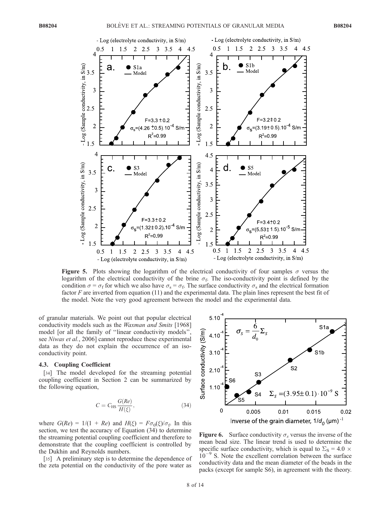

**Figure 5.** Plots showing the logarithm of the electrical conductivity of four samples  $\sigma$  versus the logarithm of the electrical conductivity of the brine  $\sigma_f$ . The iso-conductivity point is defined by the condition  $\sigma = \sigma_f$  for which we also have  $\sigma_s = \sigma_f$ . The surface conductivity  $\sigma_s$  and the electrical formation factor F are inverted from equation (11) and the experimental data. The plain lines represent the best fit of the model. Note the very good agreement between the model and the experimental data.

of granular materials. We point out that popular electrical conductivity models such as the Waxman and Smits [1968] model [or all the family of ''linear conductivity models'', see Niwas et al., 2006] cannot reproduce these experimental data as they do not explain the occurrence of an isoconductivity point.

#### 4.3. Coupling Coefficient

[34] The model developed for the streaming potential coupling coefficient in Section 2 can be summarized by the following equation,

$$
C = C_{\rm HS} \frac{G(Re)}{H(\xi)},\tag{34}
$$

where  $G(Re) = 1/(1 + Re)$  and  $H(\xi) = F\sigma_0(\xi)/\sigma_f$ . In this section, we test the accuracy of Equation (34) to determine the streaming potential coupling coefficient and therefore to demonstrate that the coupling coefficient is controlled by the Dukhin and Reynolds numbers.

[35] A preliminary step is to determine the dependence of the zeta potential on the conductivity of the pore water as



Figure 6. Surface conductivity  $\sigma_s$  versus the inverse of the mean bead size. The linear trend is used to determine the specific surface conductivity, which is equal to  $\Sigma$ <sub>S</sub> = 4.0  $\times$  $10^{-9}$  S. Note the excellent correlation between the surface conductivity data and the mean diameter of the beads in the packs (except for sample S6), in agreement with the theory.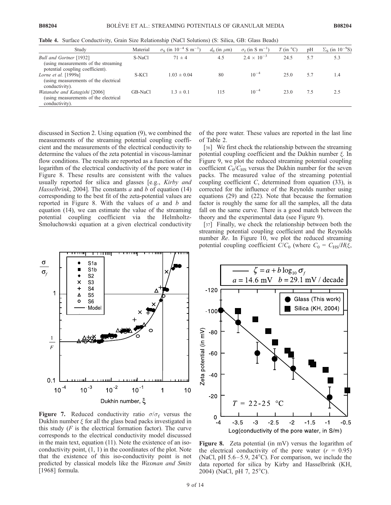Table 4. Surface Conductivity, Grain Size Relationship (NaCl Solutions) (S: Silica, GB: Glass Beads)

| Study                                                                                                | Material | $\sigma_{\rm S}$ (in 10 <sup>-4</sup> S m <sup>-1</sup> ) | $d_0$ (in $\mu$ m) | $\sigma_{\rm f}$ (in S m <sup>-1</sup> ) | $T$ (in $^{\circ}$ C) | pH  | $\Sigma$ <sub>S</sub> (in 10 <sup>-9</sup> S) |
|------------------------------------------------------------------------------------------------------|----------|-----------------------------------------------------------|--------------------|------------------------------------------|-----------------------|-----|-----------------------------------------------|
| Bull and Gortner [1932]<br>(using measurements of the streaming)<br>potential coupling coefficient). | S-NaCl   | $71 \pm 4$                                                | 4.5                | $2.4 \times 10^{-3}$                     | 24.5                  | 5.7 | 5.3                                           |
| Lorne et al. $[1999a]$<br>(using measurements of the electrical<br>conductivity).                    | S-KCl    | $1.03 \pm 0.04$                                           | 80                 | $10^{-4}$                                | 25.0                  | 5.7 | 1.4                                           |
| Watanabe and Katagishi [2006]<br>(using measurements of the electrical<br>conductivity).             | GB-NaCl  | $1.3 \pm 0.1$                                             | 115                | $10^{-4}$                                | 23.0                  | 7.5 | 2.5                                           |

discussed in Section 2. Using equation (9), we combined the measurements of the streaming potential coupling coefficient and the measurements of the electrical conductivity to determine the values of the zeta potential in viscous-laminar flow conditions. The results are reported as a function of the logarithm of the electrical conductivity of the pore water in Figure 8. These results are consistent with the values usually reported for silica and glasses [e.g., Kirby and Hasselbrink, 2004]. The constants  $a$  and  $b$  of equation (14) corresponding to the best fit of the zeta-potential values are reported in Figure 8. With the values of  $a$  and  $b$  and equation (14), we can estimate the value of the streaming potential coupling coefficient via the Helmholtz-Smoluchowski equation at a given electrical conductivity of the pore water. These values are reported in the last line of Table 2.

[36] We first check the relationship between the streaming potential coupling coefficient and the Dukhin number  $\xi$ . In Figure 9, we plot the reduced streaming potential coupling coefficient  $C_0/C_{\text{HS}}$  versus the Dukhin number for the seven packs. The measured value of the streaming potential coupling coefficient C, determined from equation (33), is corrected for the influence of the Reynolds number using equations (29) and (22). Note that because the formation factor is roughly the same for all the samples, all the data fall on the same curve. There is a good match between the theory and the experimental data (see Figure 9).

[37] Finally, we check the relationship between both the streaming potential coupling coefficient and the Reynolds number Re. In Figure 10, we plot the reduced streaming potential coupling coefficient  $C/C_0$  (where  $C_0 = C_{\text{HS}}/H(\xi, \xi)$ 



Figure 7. Reduced conductivity ratio  $\sigma/\sigma_f$  versus the Dukhin number  $\xi$  for all the glass bead packs investigated in this study  $(F$  is the electrical formation factor). The curve corresponds to the electrical conductivity model discussed in the main text, equation (11). Note the existence of an isoconductivity point, (1, 1) in the coordinates of the plot. Note that the existence of this iso-conductivity point is not predicted by classical models like the Waxman and Smits [1968] formula.



Figure 8. Zeta potential (in mV) versus the logarithm of the electrical conductivity of the pore water  $(r = 0.95)$ (NaCl, pH  $5.6-5.9$ ,  $24^{\circ}$ C). For comparison, we include the data reported for silica by Kirby and Hasselbrink (KH, 2004) (NaCl, pH 7, 25<sup>o</sup>C).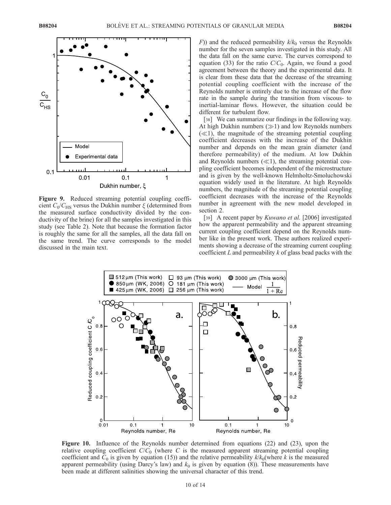

Figure 9. Reduced streaming potential coupling coefficient  $C_0/C_{\text{HS}}$  versus the Dukhin number  $\xi$  (determined from the measured surface conductivity divided by the conductivity of the brine) for all the samples investigated in this study (see Table 2). Note that because the formation factor is roughly the same for all the samples, all the data fall on the same trend. The curve corresponds to the model discussed in the main text.

 $F$ )) and the reduced permeability  $k/k_0$  versus the Reynolds number for the seven samples investigated in this study. All the data fall on the same curve. The curves correspond to equation (33) for the ratio  $C/C_0$ . Again, we found a good agreement between the theory and the experimental data. It is clear from these data that the decrease of the streaming potential coupling coefficient with the increase of the Reynolds number is entirely due to the increase of the flow rate in the sample during the transition from viscous- to inertial-laminar flows. However, the situation could be different for turbulent flow.

[38] We can summarize our findings in the following way. At high Dukhin numbers  $(\gg 1)$  and low Reynolds numbers  $(\ll 1)$ , the magnitude of the streaming potential coupling coefficient decreases with the increase of the Dukhin number and depends on the mean grain diameter (and therefore permeability) of the medium. At low Dukhin and Reynolds numbers  $(\ll 1)$ , the streaming potential coupling coefficient becomes independent of the microstructure and is given by the well-known Helmholtz-Smoluchowski equation widely used in the literature. At high Reynolds numbers, the magnitude of the streaming potential coupling coefficient decreases with the increase of the Reynolds number in agreement with the new model developed in section 2.

[39] A recent paper by *Kuwano et al.* [2006] investigated how the apparent permeability and the apparent streaming current coupling coefficient depend on the Reynolds number like in the present work. These authors realized experiments showing a decrease of the streaming current coupling coefficient  $L$  and permeability  $k$  of glass bead packs with the



Figure 10. Influence of the Reynolds number determined from equations (22) and (23), upon the relative coupling coefficient  $C/C_0$  (where C is the measured apparent streaming potential coupling coefficient and  $C_0$  is given by equation (15)) and the relative permeability  $k/k_0$ (where k is the measured apparent permeability (using Darcy's law) and  $k_0$  is given by equation (8)). These measurements have been made at different salinities showing the universal character of this trend.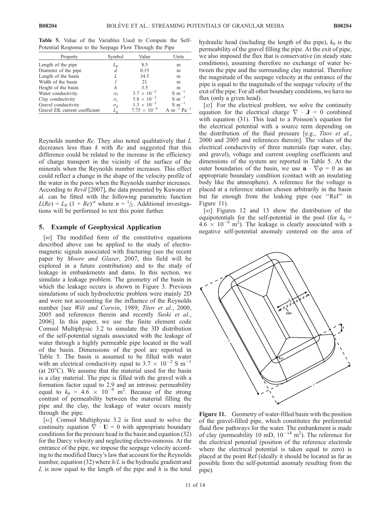Table 5. Value of the Variables Used to Compute the Self-Potential Response to the Seepage Flow Through the Pipe

| Property                      | Symbol             | Value                 | Units                     |
|-------------------------------|--------------------|-----------------------|---------------------------|
| Length of the pipe            | $L_{\rm p}$        | 8.5                   | m                         |
| Diameter of the pipe          | d                  | 0.15                  | m                         |
| Length of the basin           |                    | 34.5                  | m                         |
| Width of the basin            |                    | 21                    | m                         |
| Height of the basin           | h                  | 3.5                   | m                         |
| Water conductivity            | $\sigma_{\rm f}$   | $3.7 \times 10^{-2}$  | $S \; \mathrm{m}^{-1}$    |
| Clay conductivity             | $\sigma_{\rm c}$   | $5.8 \times 10^{-2}$  | $S \; \mathrm{m}^{-1}$    |
| Gravel conductivity           | $\sigma_{\rm g}$   | $1.3 \times 10^{-2}$  | $S \; \mathrm{m}^{-1}$    |
| Gravel EK current coefficient | $L_{\mathfrak{g}}$ | $7.75 \times 10^{-9}$ | $m^{-1}$ Pa <sup>-1</sup> |

Reynolds number Re. They also noted qualitatively that L decreases less than  $k$  with  $Re$  and suggested that this difference could be related to the increase in the efficiency of charge transport in the vicinity of the surface of the minerals when the Reynolds number increases. This effect could reflect a change in the shape of the velocity profile of the water in the pores when the Reynolds number increases. According to Revil [2007], the data presented by Kuwano et al. can be fitted with the following parametric function  $L(Re) = L_0 (1 + Re)^{-n}$  where  $n = \frac{1}{2}$ . Additional investigations will be performed to test this point further.

#### 5. Example of Geophysical Application

[40] The modified form of the constitutive equations described above can be applied to the study of electromagnetic signals associated with fracturing (see the recent paper by Moore and Glaser, 2007, this field will be explored in a future contribution) and to the study of leakage in embankments and dams. In this section, we simulate a leakage problem. The geometry of the basin in which the leakage occurs is shown in Figure 3. Previous simulations of such hydroelectric problem were mainly 2D and were not accounting for the influence of the Reynolds number [see Wilt and Corwin, 1989; Titov et al., 2000, 2005 and references therein and recently Suski et al., 2006]. In this paper, we use the finite element code Comsol Multiphysic 3.2 to simulate the 3D distribution of the self-potential signals associated with the leakage of water through a highly permeable pipe located in the wall of the basin. Dimensions of the pool are reported in Table 5. The basin is assumed to be filled with water with an electrical conductivity equal to  $3.7 \times 10^{-2}$  S m<sup>-1</sup> (at  $20^{\circ}$ C). We assume that the material used for the basin is a clay material. The pipe is filled with the gravel with a formation factor equal to 2.9 and an intrinsic permeability equal to  $k_0 = 4.\dot{6} \times 10^{-9}$  m<sup>2</sup>. Because of the strong contrast of permeability between the material filling the pipe and the clay, the leakage of water occurs mainly through the pipe.

[41] Comsol Multiphysic 3.2 is first used to solve the continuity equation  $\nabla \cdot \mathbf{U} = 0$  with appropriate boundary conditions for the pressure head in the basin and equation (32) for the Darcy velocity and neglecting electro-osmosis. At the entrance of the pipe, we impose the seepage velocity according to the modified Darcy's law that account for the Reynolds number, equation (32) where  $h/L$  is the hydraulic gradient and L is now equal to the length of the pipe and  $h$  is the total hydraulic head (including the length of the pipe),  $k_0$  is the permeability of the gravel filling the pipe. At the exit of pipe, we also imposed the flux that is conservative (in steady state conditions), assuming therefore no exchange of water between the pipe and the surrounding clay material. Therefore the magnitude of the seepage velocity at the entrance of the pipe is equal to the magnitude of the seepage velocity of the exit of the pipe. For all other boundary conditions, we have no flux (only a given head).

[42] For the electrical problem, we solve the continuity equation for the electrical charge  $\nabla \cdot \mathbf{J} = 0$  combined with equation (31). This lead to a Poisson's equation for the electrical potential with a source term depending on the distribution of the fluid pressure [e.g., Titov et al., 2000 and 2005 and references therein]. The values of the electrical conductivity of three materials (tap water, clay, and gravel), voltage and current coupling coefficients and dimensions of the system are reported in Table 5. At the outer boundaries of the basin, we use  $\mathbf{n} \cdot \nabla \varphi = 0$  as an appropriate boundary condition (contact with an insulating body like the atmosphere). A reference for the voltage is placed at a reference station chosen arbitrarily in the basin but far enough from the leaking pipe (see ''Ref'' in Figure 11).

[43] Figures 12 and 13 show the distribution of the equipotentials for the self-potential in the pool (for  $k_0$  =  $4.6 \times 10^{-9}$  m<sup>2</sup>). The leakage is clearly associated with a negative self-potential anomaly centered on the area of



Figure 11. Geometry of water-filled basin with the position of the gravel-filled pipe, which constitutes the preferential fluid flow pathways for the water. The embankment is made of clay (permeability 10 mD,  $10^{-14}$  m<sup>2</sup>). The reference for the electrical potential (position of the reference electrode where the electrical potential is taken equal to zero) is placed at the point Ref (ideally it should be located as far as possible from the self-potential anomaly resulting from the pipe).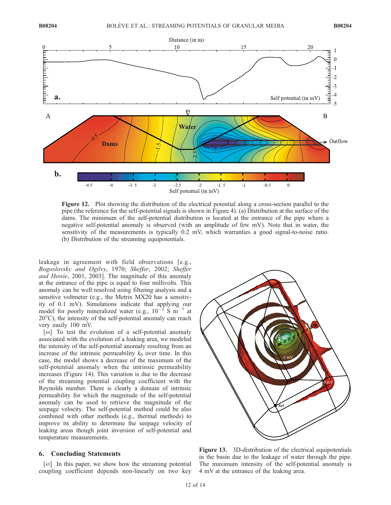

Figure 12. Plot showing the distribution of the electrical potential along a cross-section parallel to the pipe (the reference for the self-potential signals is shown in Figure 4). (a) Distribution at the surface of the dams. The minimum of the self-potential distribution is located at the entrance of the pipe where a negative self-potential anomaly is observed (with an amplitude of few mV). Note that in water, the sensitivity of the measurements is typically 0.2 mV, which warranties a good signal-to-noise ratio. (b) Distribution of the streaming equipotentials.

leakage in agreement with field observations [e.g., Bogoslovsky and Ogilvy, 1970; Sheffer, 2002; Sheffer and Howie, 2001, 2003]. The magnitude of this anomaly at the entrance of the pipe is equal to four millivolts. This anomaly can be well resolved using filtering analysis and a sensitive voltmeter (e.g., the Metrix MX20 has a sensitivity of 0.1 mV). Simulations indicate that applying our model for poorly mineralized water (e.g.,  $10^{-3}$  S m<sup>-1</sup> at  $20^{\circ}$ C), the intensity of the self-potential anomaly can reach very easily 100 mV.

[44] To test the evolution of a self-potential anomaly associated with the evolution of a leaking area, we modeled the intensity of the self-potential anomaly resulting from an increase of the intrinsic permeability  $k_0$  over time. In this case, the model shows a decrease of the maximum of the self-potential anomaly when the intrinsic permeability increases (Figure 14). This variation is due to the decrease of the streaming potential coupling coefficient with the Reynolds number. There is clearly a domain of intrinsic permeability for which the magnitude of the self-potential anomaly can be used to retrieve the magnitude of the seepage velocity. The self-potential method could be also combined with other methods (e.g., thermal methods) to improve its ability to determine the seepage velocity of leaking areas though joint inversion of self-potential and temperature measurements.

#### 6. Concluding Statements

[45] In this paper, we show how the streaming potential coupling coefficient depends non-linearly on two key



Figure 13. 3D-distribution of the electrical equipotentials in the basin due to the leakage of water through the pipe. The maximum intensity of the self-potential anomaly is 4 mV at the entrance of the leaking area.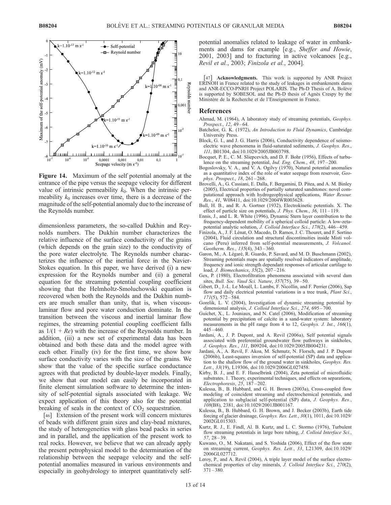

Figure 14. Maximum of the self potential anomaly at the entrance of the pipe versus the seepage velocity for different value of intrinsic permeability  $k_0$ . When the intrinsic permeability  $k_0$  increases over time, there is a decrease of the magnitude of the self-potential anomaly due to the increase of the Reynolds number.

dimensionless parameters, the so-called Dukhin and Reynolds numbers. The Dukhin number characterizes the relative influence of the surface conductivity of the grains (which depends on the grain size) to the conductivity of the pore water electrolyte. The Reynolds number characterizes the influence of the inertial force in the Navier-Stokes equation. In this paper, we have derived (i) a new expression for the Reynolds number and (ii) a general equation for the streaming potential coupling coefficient showing that the Helmholtz-Smoluchowski equation is recovered when both the Reynolds and the Dukhin numbers are much smaller than unity, that is, when viscouslaminar flow and pore water conduction dominate. In the transition between the viscous and inertial laminar flow regimes, the streaming potential coupling coefficient falls as  $1/(1 + Re)$  with the increase of the Reynolds number. In addition, (iii) a new set of experimental data has been obtained and both these data and the model agree with each other. Finally (iv) for the first time, we show how surface conductivity varies with the size of the grains. We show that the value of the specific surface conductance agrees with that predicted by double-layer models. Finally, we show that our model can easily be incorporated in finite element simulation software to determine the intensity of self-potential signals associated with leakage. We expect application of this theory also for the potential breaking of seals in the context of  $CO<sub>2</sub>$  sequestration.

[46] Extension of the present work will concern mixtures of beads with different grain sizes and clay-bead mixtures, the study of heterogeneities with glass bead packs in series and in parallel, and the application of the present work to real rocks. However, we believe that we can already apply the present petrophysical model to the determination of the relationship between the seepage velocity and the selfpotential anomalies measured in various environments and especially in geohydrology to interpret quantitatively selfpotential anomalies related to leakage of water in embankments and dams for example [e.g., Sheffer and Howie, 2001, 2003] and to fracturing in active volcanoes [e.g., Revil et al., 2003; Finizola et al., 2004].

[47] Acknowledgments. This work is supported by ANR Project ERINOH in France related to the study of leakages in embankments dams and ANR-ECCO-PNRH Project POLARIS. The Ph-D Thesis of A. Bolève is supported by SOBESOL and the Ph-D thesis of Agnès Crespy by the Ministère de la Recherche et de l'Enseignement in France.

#### References

- Ahmad, M. (1964), A laboratory study of streaming potentials, Geophys. Prospect., 12, 49-64.
- Batchelor, G. K. (1972), An Introduction to Fluid Dynamics, Cambridge University Press.
- Block, G. I., and J. G. Harris (2006), Conductivity dependence of seismoelectric wave phenomena in fluid-saturated sediments, J. Geophys. Res., 111, B01304, doi:10.1029/2005JB003798.
- Bocquet, P. E., C. M. Sliepcevich, and D. F. Bohr (1956), Effects of turbulence on the streaming potential, Ind. Eng. Chem., 48, 197-200.
- Bogoslovsky, V. A., and V. A. Ogilvy (1970), Natural potential anomalies as a quantitative index of the role of water seepage from reservoir, Geophys. Prospect., 18, 261-268.
- Brovelli, A., G. Cassiani, E. Dalla, F. Bergamini, D. Pitea, and A. M. Binley (2005), Electrical properties of partially saturated sandstones: novel computational approach with hydrogeophysical applications, Water Resour.  $Res.$ , 41, W08411, doi:10.1029/2004WR003628.
- Bull, H. B., and R. A. Gortner (1932), Electrokinetic potentials. X. The effect of particle size on potentials, J. Phys. Chem., 36, 111-119.
- Ennis, J., and L. R. White (1996), Dynamic Stern layer contribution to the frequency-dependent mobility of a spherical colloid particle: A low-zetapotential analytic solution, *J. Colloid Interface Sci.*, 178(2), 446–459.
- Finizola, A., J. F. Lénat, O. Macedo, D. Ramos, J. C. Thouret, and F. Sortino (2004), Fluid circulation and structural discontinuities inside Misti volcano (Peru) inferred from self-potential measurements, J. Volcanol. Geotherm. Res., 135(4), 343-360.
- Garon, M., A. Légaré, R. Guardo, P. Savard, and M. D. Buschmann (2002), Streaming potentials maps are spatially resolved indicators of amplitude, frequency and ionic strength dependant responses of articular cartilage to load, *J. Biomechanics*, 35(2), 207-216.
- Gex, P. (1980), Electrofiltration phenomena associated with several dam sites, Bull. Soc. Vaud Sci. Nature, 357(75), 39-50.
- Gibert, D., J.-L. Le Mouël, L. Lambs, F. Nicollin, and F. Perrier (2006), Sap flow and daily electrical potential variations in a tree trunk, *Plant Sci.*,  $171(5)$ , 572 – 584.
- Gorelik, L. V. (2004), Investigation of dynamic streaming potential by dimensional analysis, J. Colloid Interface Sci., 274, 695-700.
- Guichet, X., L. Jouniaux, and N. Catel (2006), Modification of streaming potential by precipitation of calcite in a sand-water system: laboratory measurements in the pH range from 4 to 12, Geophys. J. Int., 166(1),  $445 - 460.$
- Jardani, A., J. P. Dupont, and A. Revil (2006a), Self potential signals associated with preferential groundwater flow pathways in sinkholes, J. Geophys. Res., 111, B09204, doi:10.1029/2005JB004231.
- Jardani, A., A. Revil, F. Akoa, M. Schmutz, N. Florsch, and J. P. Dupont (2006b), Least-squares inversion of self-potential (SP) data and application to the shallow flow of the ground water in sinkholes, Geophys. Res. Lett., 33(19), L19306, doi:10.1029/2006GL027458.
- Kirby, B. J., and E. F. Hasselbrink (2004), Zeta potential of microfluidic substrates. 1. Theory, experimental techniques, and effects on separations, Electrophoresis,  $25, 187 - 202$ .
- Kulessa, B., B. Hubbard, and G. H. Brown (2003a), Cross-coupled flow modeling of coincident streaming and electrochemical potentials, and application to subglacial self-potential (SP) data, J. Geophys. Res., 108(B8), 2381, doi:10.1029/2001JB001167.
- Kulessa, B., B. Hubbard, G. H. Brown, and J. Becker (2003b), Earth tide forcing of glacier drainage, Geophys. Res. Lett., 30(1), 1011, doi:10.1029/ 2002GL015303.
- Kurtz, R. J., E. Findl, Al. B. Kurtz, and L. C. Stormo (1976), Turbulent flow streaming potentials in large bore tubing, J. Colloid Interface Sci., 57, 28 – 39.
- Kuwano, O., M. Nakatani, and S. Yoshida (2006), Effect of the flow state on streaming current, Geophys. Res. Lett., 33, L21309, doi:10.1029/ 2006GL027712.
- Leroy, P., and A. Revil (2004), A triple layer model of the surface electrochemical properties of clay minerals, J. Colloid Interface Sci., 270(2),  $371 - 380.$